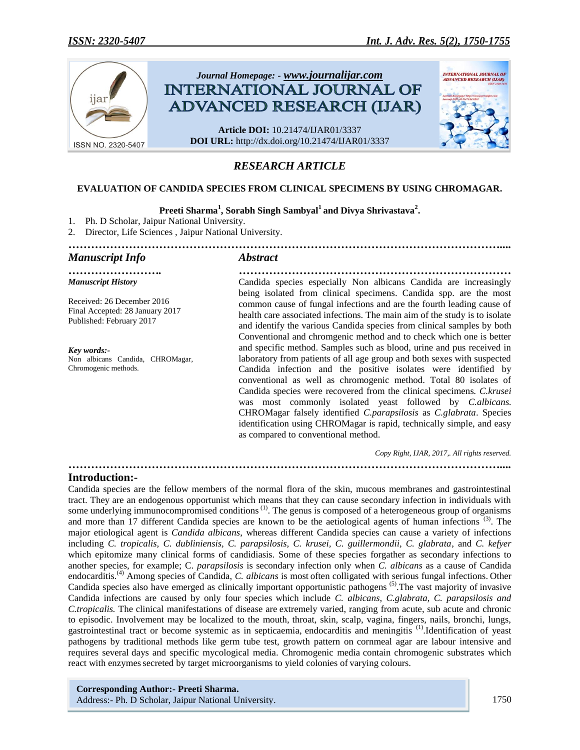

# *RESEARCH ARTICLE*

### **EVALUATION OF CANDIDA SPECIES FROM CLINICAL SPECIMENS BY USING CHROMAGAR.**

## **Preeti Sharma<sup>1</sup> , Sorabh Singh Sambyal<sup>1</sup>and Divya Shrivastava<sup>2</sup> .**

*……………………………………………………………………………………………………....*

- 1. Ph. D Scholar, Jaipur National University.
- 2. Director, Life Sciences , Jaipur National University.

## *Manuscript Info Abstract*

*……………………. ……………………………………………………………… Manuscript History*

Received: 26 December 2016 Final Accepted: 28 January 2017 Published: February 2017

*Key words:-* Non albicans Candida, CHROMagar, Chromogenic methods.

Candida species especially Non albicans Candida are increasingly being isolated from clinical specimens. Candida spp. are the most common cause of fungal infections and are the fourth leading cause of health care associated infections. The main aim of the study is to isolate and identify the various Candida species from clinical samples by both Conventional and chromgenic method and to check which one is better and specific method. Samples such as blood, urine and pus received in laboratory from patients of all age group and both sexes with suspected Candida infection and the positive isolates were identified by conventional as well as chromogenic method. Total 80 isolates of Candida species were recovered from the clinical specimens*. C.krusei* was most commonly isolated yeast followed by *C.albicans.* CHROMagar falsely identified *C.parapsilosis* as *C.glabrata*. Species identification using CHROMagar is rapid, technically simple, and easy as compared to conventional method.

 *Copy Right, IJAR, 2017,. All rights reserved.*

### **Introduction:-**

Candida species are the fellow members of the normal flora of the skin, mucous membranes and gastrointestinal tract. They are an endogenous opportunist which means that they can cause secondary infection in individuals with some underlying immunocompromised conditions<sup>(1)</sup>. The genus is composed of a heterogeneous group of organisms and more than 17 different Candida species are known to be the aetiological agents of human infections (3). The major etiological agent is *Candida albicans*, whereas different Candida species can cause a variety of infections including *C. tropicalis, C. dubliniensis, C. parapsilosis, C. krusei, C. guillermondii, C. glabrata*, and *C. kefyer* which epitomize many clinical forms of candidiasis. Some of these species forgather as secondary infections to another species, for example; C. *parapsilosis* is secondary infection only when *C. albicans* as a cause of Candida endocarditis.<sup>(4)</sup> Among species of Candida, *C. albicans* is most often colligated with serious fungal infections. Other Candida species also have emerged as clinically important opportunistic pathogens (5).The vast majority of invasive Candida infections are caused by only four species which include *C. albicans, C.glabrata, C. parapsilosis and C.tropicalis.* The clinical manifestations of disease are extremely varied, ranging from acute, sub acute and chronic to episodic. Involvement may be localized to the mouth, throat, skin, scalp, vagina, fingers, nails, bronchi, lungs, gastrointestinal tract or become systemic as in septicaemia, endocarditis and meningitis (1).Identification of yeast pathogens by traditional methods like germ tube test, growth pattern on cornmeal agar are labour intensive and requires several days and specific mycological media. Chromogenic media contain chromogenic substrates which react with enzymes secreted by target microorganisms to yield colonies of varying colours.

*……………………………………………………………………………………………………....*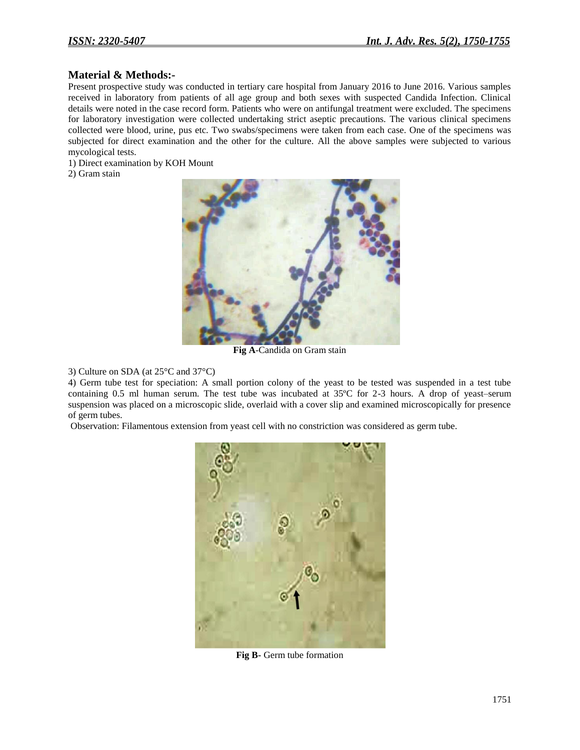## **Material & Methods:-**

Present prospective study was conducted in tertiary care hospital from January 2016 to June 2016. Various samples received in laboratory from patients of all age group and both sexes with suspected Candida Infection. Clinical details were noted in the case record form. Patients who were on antifungal treatment were excluded. The specimens for laboratory investigation were collected undertaking strict aseptic precautions. The various clinical specimens collected were blood, urine, pus etc. Two swabs/specimens were taken from each case. One of the specimens was subjected for direct examination and the other for the culture. All the above samples were subjected to various mycological tests.

1) Direct examination by KOH Mount

2) Gram stain



**Fig A**-Candida on Gram stain

3) Culture on SDA (at 25°C and 37°C)

4) Germ tube test for speciation: A small portion colony of the yeast to be tested was suspended in a test tube containing 0.5 ml human serum. The test tube was incubated at 35ºC for 2-3 hours. A drop of yeast–serum suspension was placed on a microscopic slide, overlaid with a cover slip and examined microscopically for presence of germ tubes.

Observation: Filamentous extension from yeast cell with no constriction was considered as germ tube.



**Fig B-** Germ tube formation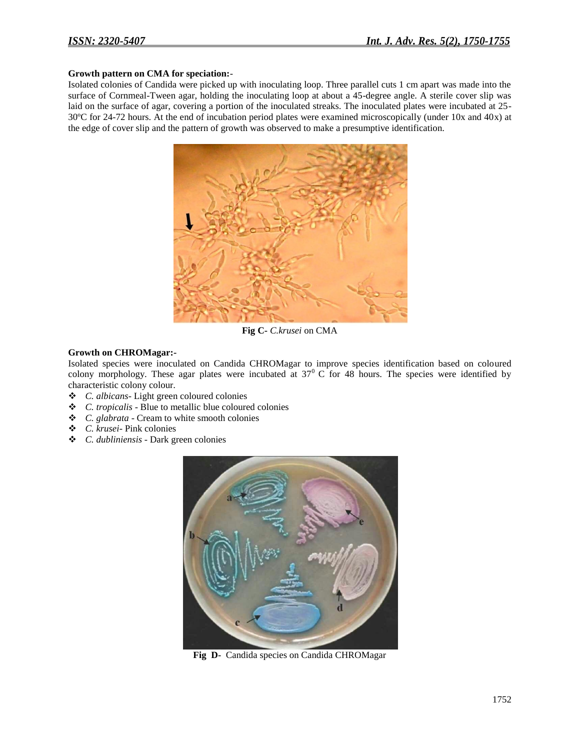#### **Growth pattern on CMA for speciation:**-

Isolated colonies of Candida were picked up with inoculating loop. Three parallel cuts 1 cm apart was made into the surface of Cornmeal-Tween agar, holding the inoculating loop at about a 45-degree angle. A sterile cover slip was laid on the surface of agar, covering a portion of the inoculated streaks. The inoculated plates were incubated at 25- 30ºC for 24-72 hours. At the end of incubation period plates were examined microscopically (under 10x and 40x) at the edge of cover slip and the pattern of growth was observed to make a presumptive identification.



**Fig C-** *C.krusei* on CMA

#### **Growth on CHROMagar:-**

Isolated species were inoculated on Candida CHROMagar to improve species identification based on coloured colony morphology. These agar plates were incubated at  $37^{\circ}$  C for 48 hours. The species were identified by characteristic colony colour.

- *C. albicans* Light green coloured colonies
- *C. tropicalis* Blue to metallic blue coloured colonies
- *C. glabrata* Cream to white smooth colonies
- *C. krusei* Pink colonies
- *C. dubliniensis* Dark green colonies



**Fig D-** Candida species on Candida CHROMagar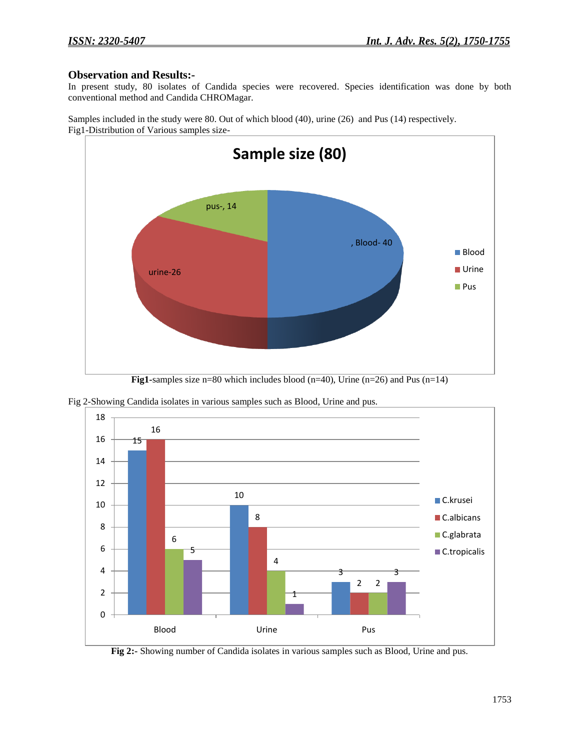## **Observation and Results:-**

In present study, 80 isolates of Candida species were recovered. Species identification was done by both conventional method and Candida CHROMagar.

Samples included in the study were 80. Out of which blood (40), urine (26) and Pus (14) respectively. Fig1-Distribution of Various samples size-





Fig 2-Showing Candida isolates in various samples such as Blood, Urine and pus.

**Fig 2:-** Showing number of Candida isolates in various samples such as Blood, Urine and pus.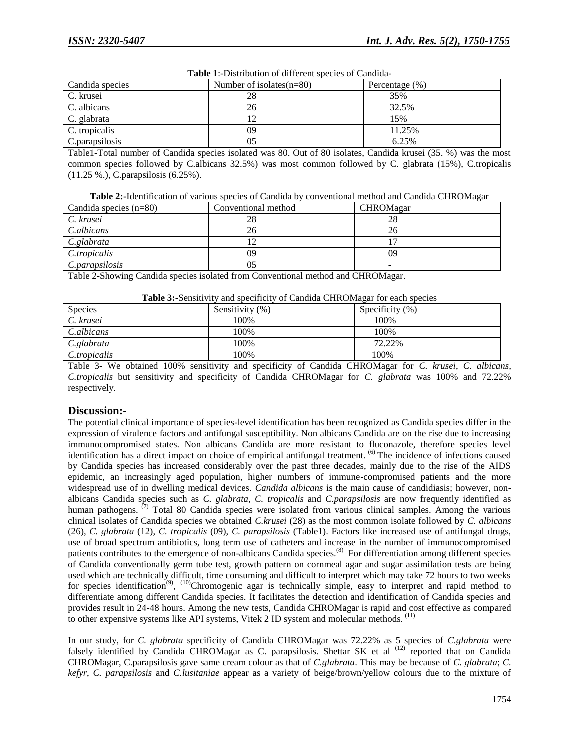| Candida species | Number of isolates $(n=80)$ | Percentage $(\%)$ |
|-----------------|-----------------------------|-------------------|
| C. krusei       | 28                          | 35%               |
| C. albicans     | 26                          | 32.5%             |
| C. glabrata     |                             | 15%               |
| C. tropicalis   | 09                          | 11.25%            |
| C. parapsilosis | 05                          | 6.25%             |

**Table 1**:-Distribution of different species of Candida-

Table1-Total number of Candida species isolated was 80. Out of 80 isolates, Candida krusei (35. %) was the most common species followed by C.albicans 32.5%) was most common followed by C. glabrata (15%), C.tropicalis (11.25 %.), C.parapsilosis (6.25%).

**Table 2:-**Identification of various species of Candida by conventional method and Candida CHROMagar

| Candida species $(n=80)$ | Conventional method | <b>CHROMagar</b> |
|--------------------------|---------------------|------------------|
| C. krusei                | 28                  | 28               |
| C.albicans               | 26                  | 26               |
| C.glabrata               |                     |                  |
| C.tropicalis             | 09                  | 09               |
| C.parapsilosis           | 05                  |                  |

Table 2-Showing Candida species isolated from Conventional method and CHROMagar.

| Table 3:-Sensitivity and specificity of Candida CHROMagar for each species |  |  |
|----------------------------------------------------------------------------|--|--|
|                                                                            |  |  |

| --------------------<br>------------------- |                 |                    |  |
|---------------------------------------------|-----------------|--------------------|--|
| <b>Species</b>                              | Sensitivity (%) | Specificity $(\%)$ |  |
| C. krusei                                   | 100%            | 100%               |  |
| C.albicans                                  | 100%            | 100%               |  |
| C.glabrata                                  | 100%            | 72.22%             |  |
| C.tropicalis                                | 100%            | 100%               |  |
|                                             |                 |                    |  |

Table 3- We obtained 100% sensitivity and specificity of Candida CHROMagar for *C. krusei*, *C. albicans, C.tropicalis* but sensitivity and specificity of Candida CHROMagar for *C. glabrata* was 100% and 72.22% respectively.

## **Discussion:-**

The potential clinical importance of species-level identification has been recognized as Candida species differ in the expression of virulence factors and antifungal susceptibility. Non albicans Candida are on the rise due to increasing immunocompromised states. Non albicans Candida are more resistant to fluconazole, therefore species level identification has a direct impact on choice of empirical antifungal treatment. <sup>(6)</sup> The incidence of infections caused by Candida species has increased considerably over the past three decades, mainly due to the rise of the AIDS epidemic, an increasingly aged population, higher numbers of immune-compromised patients and the more widespread use of in dwelling medical devices. *Candida albicans* is the main cause of candidiasis; however, nonalbicans Candida species such as *C. glabrata*, *C. tropicalis* and *C.parapsilosis* are now frequently identified as human pathogens. <sup>(7)</sup> Total 80 Candida species were isolated from various clinical samples. Among the various clinical isolates of Candida species we obtained *C.krusei* (28) as the most common isolate followed by *C. albicans* (26), *C. glabrata* (12), *C. tropicalis* (09), *C. parapsilosis* (Table1). Factors like increased use of antifungal drugs, use of broad spectrum antibiotics, long term use of catheters and increase in the number of immunocompromised patients contributes to the emergence of non-albicans Candida species.<sup>(8)</sup> For differentiation among different species of Candida conventionally germ tube test, growth pattern on cornmeal agar and sugar assimilation tests are being used which are technically difficult, time consuming and difficult to interpret which may take 72 hours to two weeks for species identification<sup>(9)</sup>, <sup>(10)</sup>Chromogenic agar is technically simple, easy to interpret and rapid method to differentiate among different Candida species. It facilitates the detection and identification of Candida species and provides result in 24-48 hours. Among the new tests, Candida CHROMagar is rapid and cost effective as compared to other expensive systems like API systems, Vitek 2 ID system and molecular methods. <sup>(11)</sup>

In our study, for *C. glabrata* specificity of Candida CHROMagar was 72.22% as 5 species of *C.glabrata* were falsely identified by Candida CHROMagar as C. parapsilosis. Shettar SK et al <sup>(12)</sup> reported that on Candida CHROMagar, C.parapsilosis gave same cream colour as that of *C.glabrata*. This may be because of *C. glabrata*; *C. kefyr*, *C. parapsilosis* and *C.lusitaniae* appear as a variety of beige/brown/yellow colours due to the mixture of